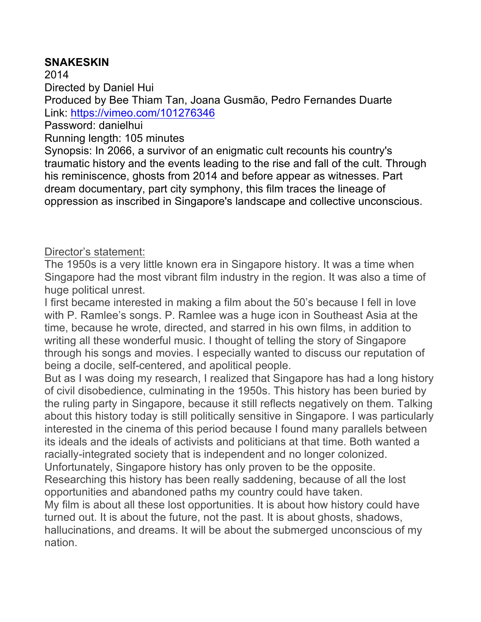## **SNAKESKIN**

2014 Directed by Daniel Hui Produced by Bee Thiam Tan, Joana Gusmão, Pedro Fernandes Duarte Link: https://vimeo.com/101276346

Password: danielhui

Running length: 105 minutes

Synopsis: In 2066, a survivor of an enigmatic cult recounts his country's traumatic history and the events leading to the rise and fall of the cult. Through his reminiscence, ghosts from 2014 and before appear as witnesses. Part dream documentary, part city symphony, this film traces the lineage of oppression as inscribed in Singapore's landscape and collective unconscious.

## Director's statement:

The 1950s is a very little known era in Singapore history. It was a time when Singapore had the most vibrant film industry in the region. It was also a time of huge political unrest.

I first became interested in making a film about the 50's because I fell in love with P. Ramlee's songs. P. Ramlee was a huge icon in Southeast Asia at the time, because he wrote, directed, and starred in his own films, in addition to writing all these wonderful music. I thought of telling the story of Singapore through his songs and movies. I especially wanted to discuss our reputation of being a docile, self-centered, and apolitical people.

But as I was doing my research, I realized that Singapore has had a long history of civil disobedience, culminating in the 1950s. This history has been buried by the ruling party in Singapore, because it still reflects negatively on them. Talking about this history today is still politically sensitive in Singapore. I was particularly interested in the cinema of this period because I found many parallels between its ideals and the ideals of activists and politicians at that time. Both wanted a racially-integrated society that is independent and no longer colonized. Unfortunately, Singapore history has only proven to be the opposite.

Researching this history has been really saddening, because of all the lost opportunities and abandoned paths my country could have taken.

My film is about all these lost opportunities. It is about how history could have turned out. It is about the future, not the past. It is about ghosts, shadows, hallucinations, and dreams. It will be about the submerged unconscious of my nation.